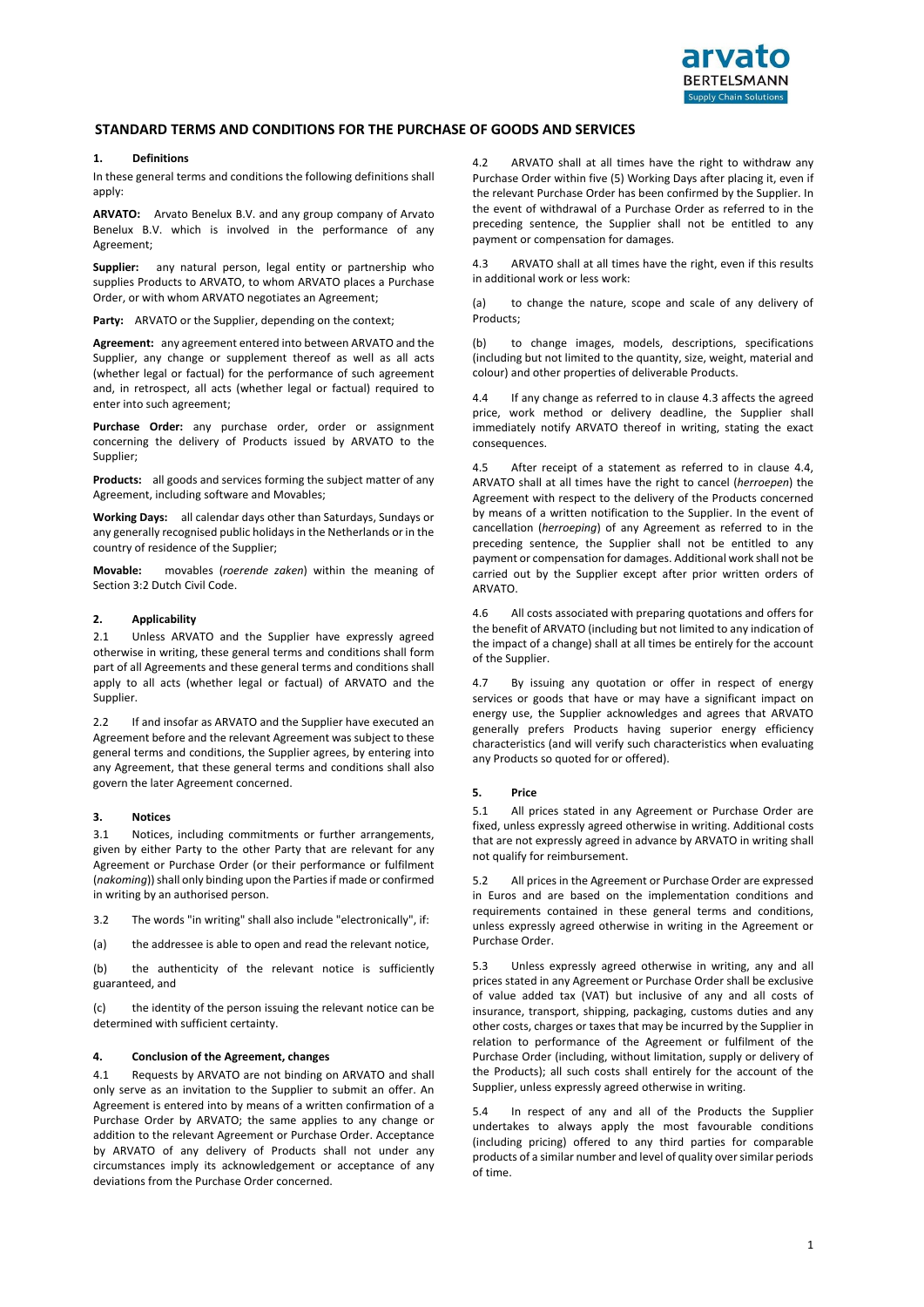

# **STANDARD TERMS AND CONDITIONS FOR THE PURCHASE OF GOODS AND SERVICES**

### **1. Definitions**

In these general terms and conditions the following definitions shall apply:

**ARVATO:** Arvato Benelux B.V. and any group company of Arvato Benelux B.V. which is involved in the performance of any Agreement;

**Supplier:** any natural person, legal entity or partnership who supplies Products to ARVATO, to whom ARVATO places a Purchase Order, or with whom ARVATO negotiates an Agreement;

**Party:** ARVATO or the Supplier, depending on the context;

**Agreement:** any agreement entered into between ARVATO and the Supplier, any change or supplement thereof as well as all acts (whether legal or factual) for the performance of such agreement and, in retrospect, all acts (whether legal or factual) required to enter into such agreement;

**Purchase Order:** any purchase order, order or assignment concerning the delivery of Products issued by ARVATO to the Supplier;

**Products:** all goods and services forming the subject matter of any Agreement, including software and Movables;

**Working Days:** all calendar days other than Saturdays, Sundays or any generally recognised public holidays in the Netherlands or in the country of residence of the Supplier;

**Movable:** movables (*roerende zaken*) within the meaning of Section 3:2 Dutch Civil Code.

# **2. Applicability**

2.1 Unless ARVATO and the Supplier have expressly agreed otherwise in writing, these general terms and conditions shall form part of all Agreements and these general terms and conditions shall apply to all acts (whether legal or factual) of ARVATO and the Supplier.

2.2 If and insofar as ARVATO and the Supplier have executed an Agreement before and the relevant Agreement was subject to these general terms and conditions, the Supplier agrees, by entering into any Agreement, that these general terms and conditions shall also govern the later Agreement concerned.

### **3. Notices**

3.1 Notices, including commitments or further arrangements, given by either Party to the other Party that are relevant for any Agreement or Purchase Order (or their performance or fulfilment (*nakoming*)) shall only binding upon the Parties if made or confirmed in writing by an authorised person.

- 3.2 The words "in writing" shall also include "electronically", if:
- (a) the addressee is able to open and read the relevant notice,

(b) the authenticity of the relevant notice is sufficiently guaranteed, and

(c) the identity of the person issuing the relevant notice can be determined with sufficient certainty.

#### **4. Conclusion of the Agreement, changes**

4.1 Requests by ARVATO are not binding on ARVATO and shall only serve as an invitation to the Supplier to submit an offer. An Agreement is entered into by means of a written confirmation of a Purchase Order by ARVATO; the same applies to any change or addition to the relevant Agreement or Purchase Order. Acceptance by ARVATO of any delivery of Products shall not under any circumstances imply its acknowledgement or acceptance of any deviations from the Purchase Order concerned.

4.2 ARVATO shall at all times have the right to withdraw any Purchase Order within five (5) Working Days after placing it, even if the relevant Purchase Order has been confirmed by the Supplier. In the event of withdrawal of a Purchase Order as referred to in the preceding sentence, the Supplier shall not be entitled to any payment or compensation for damages.

4.3 ARVATO shall at all times have the right, even if this results in additional work or less work:

(a) to change the nature, scope and scale of any delivery of Products;

(b) to change images, models, descriptions, specifications (including but not limited to the quantity, size, weight, material and colour) and other properties of deliverable Products.

4.4 If any change as referred to in clause 4.3 affects the agreed price, work method or delivery deadline, the Supplier shall immediately notify ARVATO thereof in writing, stating the exact consequences.

4.5 After receipt of a statement as referred to in clause 4.4, ARVATO shall at all times have the right to cancel (*herroepen*) the Agreement with respect to the delivery of the Products concerned by means of a written notification to the Supplier. In the event of cancellation (*herroeping*) of any Agreement as referred to in the preceding sentence, the Supplier shall not be entitled to any payment or compensation for damages. Additional work shall not be carried out by the Supplier except after prior written orders of ARVATO.

4.6 All costs associated with preparing quotations and offers for the benefit of ARVATO (including but not limited to any indication of the impact of a change) shall at all times be entirely for the account of the Supplier.

4.7 By issuing any quotation or offer in respect of energy services or goods that have or may have a significant impact on energy use, the Supplier acknowledges and agrees that ARVATO generally prefers Products having superior energy efficiency characteristics (and will verify such characteristics when evaluating any Products so quoted for or offered).

#### **5. Price**

5.1 All prices stated in any Agreement or Purchase Order are fixed, unless expressly agreed otherwise in writing. Additional costs that are not expressly agreed in advance by ARVATO in writing shall not qualify for reimbursement.

5.2 All prices in the Agreement or Purchase Order are expressed in Euros and are based on the implementation conditions and requirements contained in these general terms and conditions, unless expressly agreed otherwise in writing in the Agreement or Purchase Order.

5.3 Unless expressly agreed otherwise in writing, any and all prices stated in any Agreement or Purchase Order shall be exclusive of value added tax (VAT) but inclusive of any and all costs of insurance, transport, shipping, packaging, customs duties and any other costs, charges or taxes that may be incurred by the Supplier in relation to performance of the Agreement or fulfilment of the Purchase Order (including, without limitation, supply or delivery of the Products); all such costs shall entirely for the account of the Supplier, unless expressly agreed otherwise in writing.

5.4 In respect of any and all of the Products the Supplier undertakes to always apply the most favourable conditions (including pricing) offered to any third parties for comparable products of a similar number and level of quality over similar periods of time.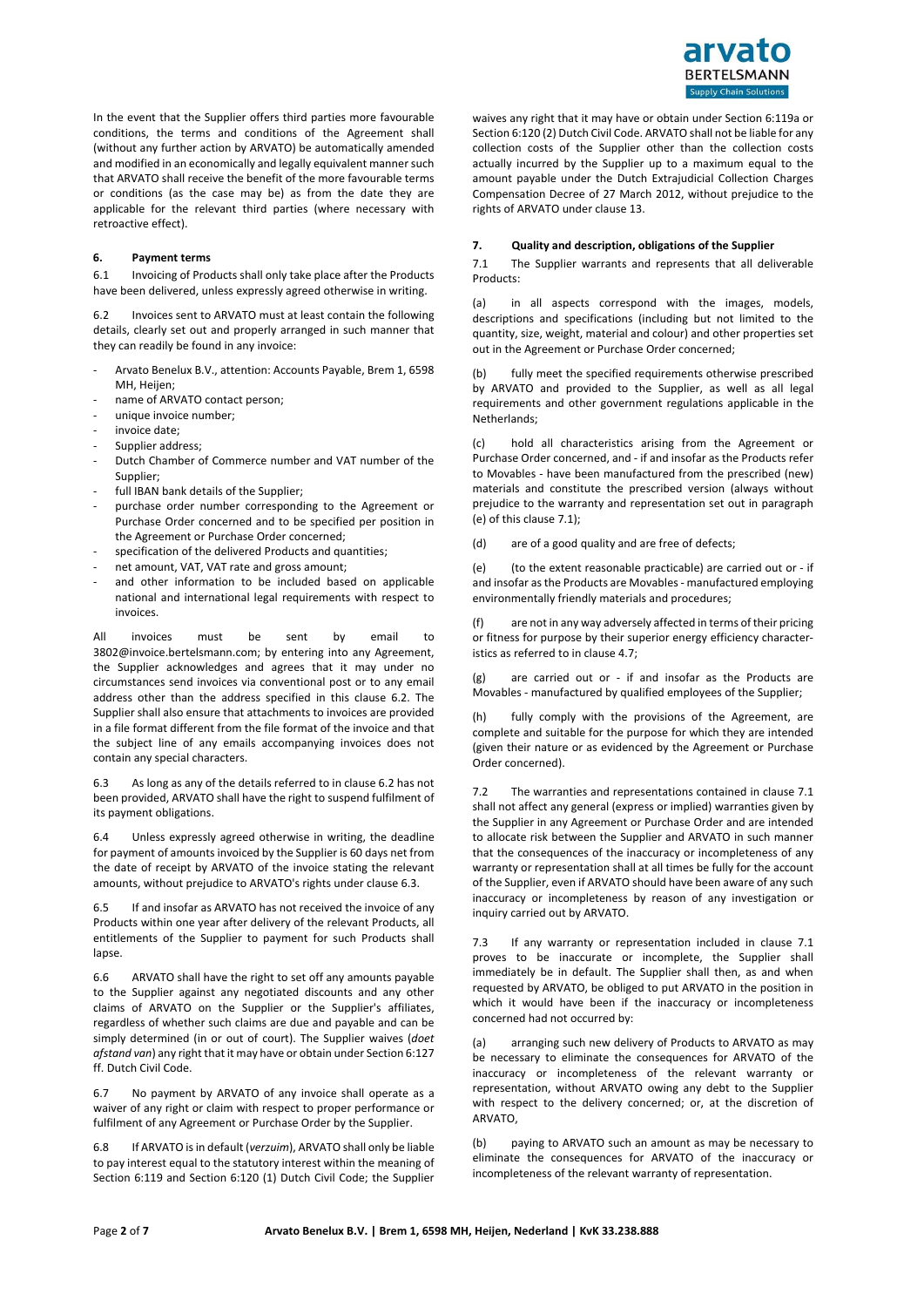

In the event that the Supplier offers third parties more favourable conditions, the terms and conditions of the Agreement shall (without any further action by ARVATO) be automatically amended and modified in an economically and legally equivalent manner such that ARVATO shall receive the benefit of the more favourable terms or conditions (as the case may be) as from the date they are applicable for the relevant third parties (where necessary with retroactive effect).

# **6. Payment terms**

6.1 Invoicing of Products shall only take place after the Products have been delivered, unless expressly agreed otherwise in writing.

6.2 Invoices sent to ARVATO must at least contain the following details, clearly set out and properly arranged in such manner that they can readily be found in any invoice:

- Arvato Benelux B.V., attention: Accounts Payable, Brem 1, 6598 MH, Heijen;
- name of ARVATO contact person;
- unique invoice number;
- invoice date;
- Supplier address:
- Dutch Chamber of Commerce number and VAT number of the Supplier;
- full IBAN bank details of the Supplier;
- purchase order number corresponding to the Agreement or Purchase Order concerned and to be specified per position in the Agreement or Purchase Order concerned;
- specification of the delivered Products and quantities;
- net amount, VAT, VAT rate and gross amount;
- and other information to be included based on applicable national and international legal requirements with respect to invoices.

All invoices must be sent by email to [3802@invoice.bertelsmann.com;](mailto:3802@invoice.bertelsmann.com) by entering into any Agreement, the Supplier acknowledges and agrees that it may under no circumstances send invoices via conventional post or to any email address other than the address specified in this clause 6.2. The Supplier shall also ensure that attachments to invoices are provided in a file format different from the file format of the invoice and that the subject line of any emails accompanying invoices does not contain any special characters.

6.3 As long as any of the details referred to in clause 6.2 has not been provided, ARVATO shall have the right to suspend fulfilment of its payment obligations.

6.4 Unless expressly agreed otherwise in writing, the deadline for payment of amounts invoiced by the Supplier is 60 days net from the date of receipt by ARVATO of the invoice stating the relevant amounts, without prejudice to ARVATO's rights under clause 6.3.

6.5 If and insofar as ARVATO has not received the invoice of any Products within one year after delivery of the relevant Products, all entitlements of the Supplier to payment for such Products shall lapse.

6.6 ARVATO shall have the right to set off any amounts payable to the Supplier against any negotiated discounts and any other claims of ARVATO on the Supplier or the Supplier's affiliates, regardless of whether such claims are due and payable and can be simply determined (in or out of court). The Supplier waives (*doet afstand van*) any right that it may have or obtain under Section 6:127 ff. Dutch Civil Code.

6.7 No payment by ARVATO of any invoice shall operate as a waiver of any right or claim with respect to proper performance or fulfilment of any Agreement or Purchase Order by the Supplier.

6.8 If ARVATO is in default (*verzuim*), ARVATO shall only be liable to pay interest equal to the statutory interest within the meaning of Section 6:119 and Section 6:120 (1) Dutch Civil Code; the Supplier waives any right that it may have or obtain under Section 6:119a or Section 6:120 (2) Dutch Civil Code. ARVATO shall not be liable for any collection costs of the Supplier other than the collection costs actually incurred by the Supplier up to a maximum equal to the amount payable under the Dutch Extrajudicial Collection Charges Compensation Decree of 27 March 2012, without prejudice to the rights of ARVATO under clause 13.

# **7. Quality and description, obligations of the Supplier**

7.1 The Supplier warrants and represents that all deliverable Products:

(a) in all aspects correspond with the images, models, descriptions and specifications (including but not limited to the quantity, size, weight, material and colour) and other properties set out in the Agreement or Purchase Order concerned;

(b) fully meet the specified requirements otherwise prescribed by ARVATO and provided to the Supplier, as well as all legal requirements and other government regulations applicable in the Netherlands;

(c) hold all characteristics arising from the Agreement or Purchase Order concerned, and - if and insofar as the Products refer to Movables - have been manufactured from the prescribed (new) materials and constitute the prescribed version (always without prejudice to the warranty and representation set out in paragraph (e) of this clause 7.1);

(d) are of a good quality and are free of defects;

(e) (to the extent reasonable practicable) are carried out or - if and insofar as the Products are Movables - manufactured employing environmentally friendly materials and procedures;

(f) are not in any way adversely affected in terms of their pricing or fitness for purpose by their superior energy efficiency characteristics as referred to in clause 4.7;

(g) are carried out or - if and insofar as the Products are Movables - manufactured by qualified employees of the Supplier;

(h) fully comply with the provisions of the Agreement, are complete and suitable for the purpose for which they are intended (given their nature or as evidenced by the Agreement or Purchase Order concerned).

7.2 The warranties and representations contained in clause 7.1 shall not affect any general (express or implied) warranties given by the Supplier in any Agreement or Purchase Order and are intended to allocate risk between the Supplier and ARVATO in such manner that the consequences of the inaccuracy or incompleteness of any warranty or representation shall at all times be fully for the account of the Supplier, even if ARVATO should have been aware of any such inaccuracy or incompleteness by reason of any investigation or inquiry carried out by ARVATO.

7.3 If any warranty or representation included in clause 7.1 proves to be inaccurate or incomplete, the Supplier shall immediately be in default. The Supplier shall then, as and when requested by ARVATO, be obliged to put ARVATO in the position in which it would have been if the inaccuracy or incompleteness concerned had not occurred by:

(a) arranging such new delivery of Products to ARVATO as may be necessary to eliminate the consequences for ARVATO of the inaccuracy or incompleteness of the relevant warranty or representation, without ARVATO owing any debt to the Supplier with respect to the delivery concerned; or, at the discretion of ARVATO,

(b) paying to ARVATO such an amount as may be necessary to eliminate the consequences for ARVATO of the inaccuracy or incompleteness of the relevant warranty of representation.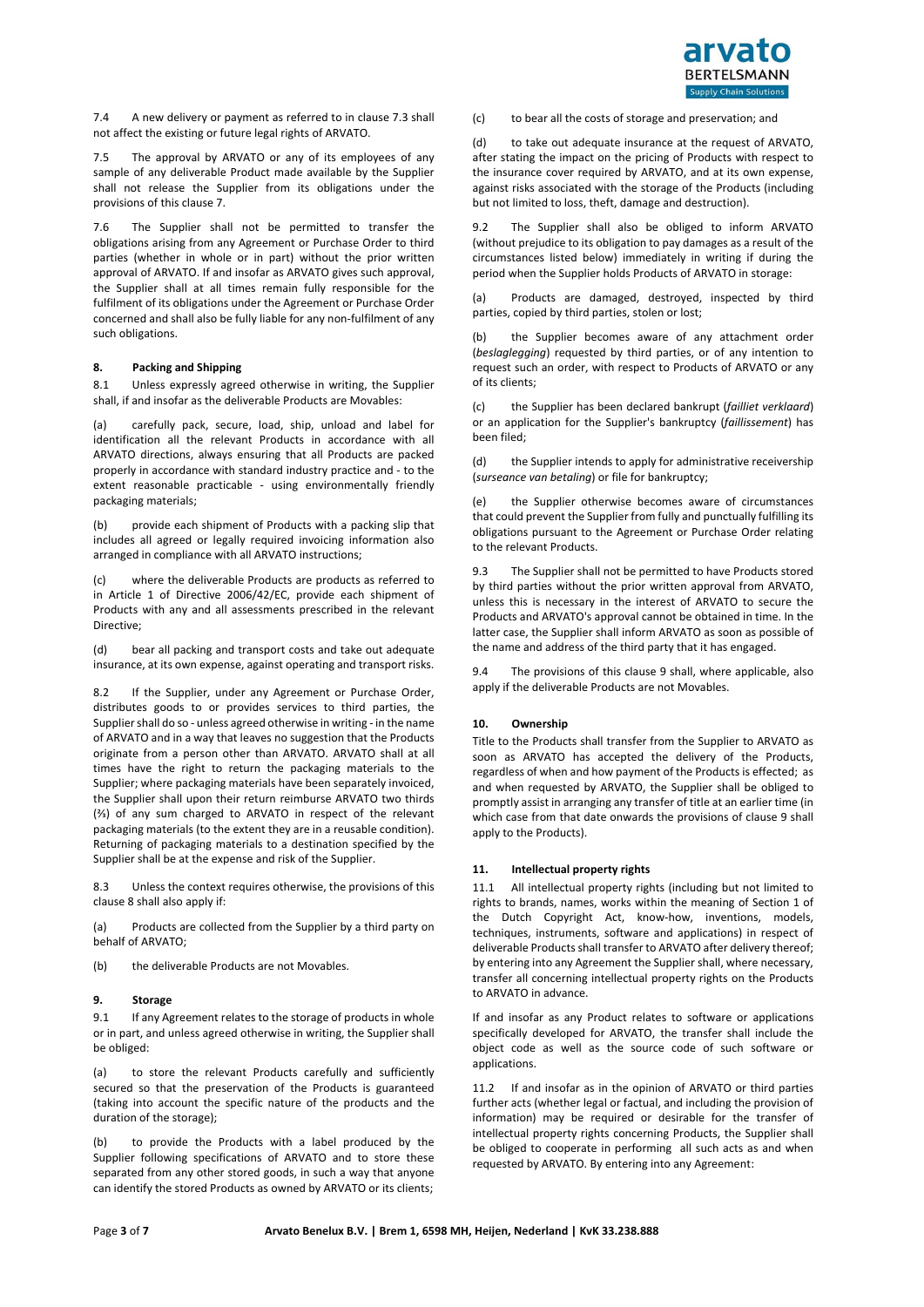

7.4 A new delivery or payment as referred to in clause 7.3 shall not affect the existing or future legal rights of ARVATO.

7.5 The approval by ARVATO or any of its employees of any sample of any deliverable Product made available by the Supplier shall not release the Supplier from its obligations under the provisions of this clause 7.

7.6 The Supplier shall not be permitted to transfer the obligations arising from any Agreement or Purchase Order to third parties (whether in whole or in part) without the prior written approval of ARVATO. If and insofar as ARVATO gives such approval, the Supplier shall at all times remain fully responsible for the fulfilment of its obligations under the Agreement or Purchase Order concerned and shall also be fully liable for any non-fulfilment of any such obligations.

# **8. Packing and Shipping**

8.1 Unless expressly agreed otherwise in writing, the Supplier shall, if and insofar as the deliverable Products are Movables:

(a) carefully pack, secure, load, ship, unload and label for identification all the relevant Products in accordance with all ARVATO directions, always ensuring that all Products are packed properly in accordance with standard industry practice and - to the extent reasonable practicable - using environmentally friendly packaging materials;

(b) provide each shipment of Products with a packing slip that includes all agreed or legally required invoicing information also arranged in compliance with all ARVATO instructions;

(c) where the deliverable Products are products as referred to in Article 1 of Directive 2006/42/EC, provide each shipment of Products with any and all assessments prescribed in the relevant Directive:

(d) bear all packing and transport costs and take out adequate insurance, at its own expense, against operating and transport risks.

8.2 If the Supplier, under any Agreement or Purchase Order, distributes goods to or provides services to third parties, the Supplier shall do so - unless agreed otherwise in writing - in the name of ARVATO and in a way that leaves no suggestion that the Products originate from a person other than ARVATO. ARVATO shall at all times have the right to return the packaging materials to the Supplier; where packaging materials have been separately invoiced, the Supplier shall upon their return reimburse ARVATO two thirds (⅔) of any sum charged to ARVATO in respect of the relevant packaging materials (to the extent they are in a reusable condition). Returning of packaging materials to a destination specified by the Supplier shall be at the expense and risk of the Supplier.

8.3 Unless the context requires otherwise, the provisions of this clause 8 shall also apply if:

(a) Products are collected from the Supplier by a third party on behalf of ARVATO;

(b) the deliverable Products are not Movables.

#### **9. Storage**

9.1 If any Agreement relates to the storage of products in whole or in part, and unless agreed otherwise in writing, the Supplier shall be obliged:

(a) to store the relevant Products carefully and sufficiently secured so that the preservation of the Products is guaranteed (taking into account the specific nature of the products and the duration of the storage);

(b) to provide the Products with a label produced by the Supplier following specifications of ARVATO and to store these separated from any other stored goods, in such a way that anyone can identify the stored Products as owned by ARVATO or its clients; (c) to bear all the costs of storage and preservation; and

(d) to take out adequate insurance at the request of ARVATO, after stating the impact on the pricing of Products with respect to the insurance cover required by ARVATO, and at its own expense, against risks associated with the storage of the Products (including but not limited to loss, theft, damage and destruction).

9.2 The Supplier shall also be obliged to inform ARVATO (without prejudice to its obligation to pay damages as a result of the circumstances listed below) immediately in writing if during the period when the Supplier holds Products of ARVATO in storage:

(a) Products are damaged, destroyed, inspected by third parties, copied by third parties, stolen or lost;

(b) the Supplier becomes aware of any attachment order (*beslaglegging*) requested by third parties, or of any intention to request such an order, with respect to Products of ARVATO or any of its clients;

(c) the Supplier has been declared bankrupt (*failliet verklaard*) or an application for the Supplier's bankruptcy (*faillissement*) has been filed;

(d) the Supplier intends to apply for administrative receivership (*surseance van betaling*) or file for bankruptcy;

(e) the Supplier otherwise becomes aware of circumstances that could prevent the Supplier from fully and punctually fulfilling its obligations pursuant to the Agreement or Purchase Order relating to the relevant Products.

9.3 The Supplier shall not be permitted to have Products stored by third parties without the prior written approval from ARVATO, unless this is necessary in the interest of ARVATO to secure the Products and ARVATO's approval cannot be obtained in time. In the latter case, the Supplier shall inform ARVATO as soon as possible of the name and address of the third party that it has engaged.

9.4 The provisions of this clause 9 shall, where applicable, also apply if the deliverable Products are not Movables.

# **10. Ownership**

Title to the Products shall transfer from the Supplier to ARVATO as soon as ARVATO has accepted the delivery of the Products, regardless of when and how payment of the Products is effected; as and when requested by ARVATO, the Supplier shall be obliged to promptly assist in arranging any transfer of title at an earlier time (in which case from that date onwards the provisions of clause 9 shall apply to the Products).

#### **11. Intellectual property rights**

11.1 All intellectual property rights (including but not limited to rights to brands, names, works within the meaning of Section 1 of the Dutch Copyright Act, know-how, inventions, models, techniques, instruments, software and applications) in respect of deliverable Products shall transfer to ARVATO after delivery thereof; by entering into any Agreement the Supplier shall, where necessary, transfer all concerning intellectual property rights on the Products to ARVATO in advance.

If and insofar as any Product relates to software or applications specifically developed for ARVATO, the transfer shall include the object code as well as the source code of such software or applications.

11.2 If and insofar as in the opinion of ARVATO or third parties further acts (whether legal or factual, and including the provision of information) may be required or desirable for the transfer of intellectual property rights concerning Products, the Supplier shall be obliged to cooperate in performing all such acts as and when requested by ARVATO. By entering into any Agreement: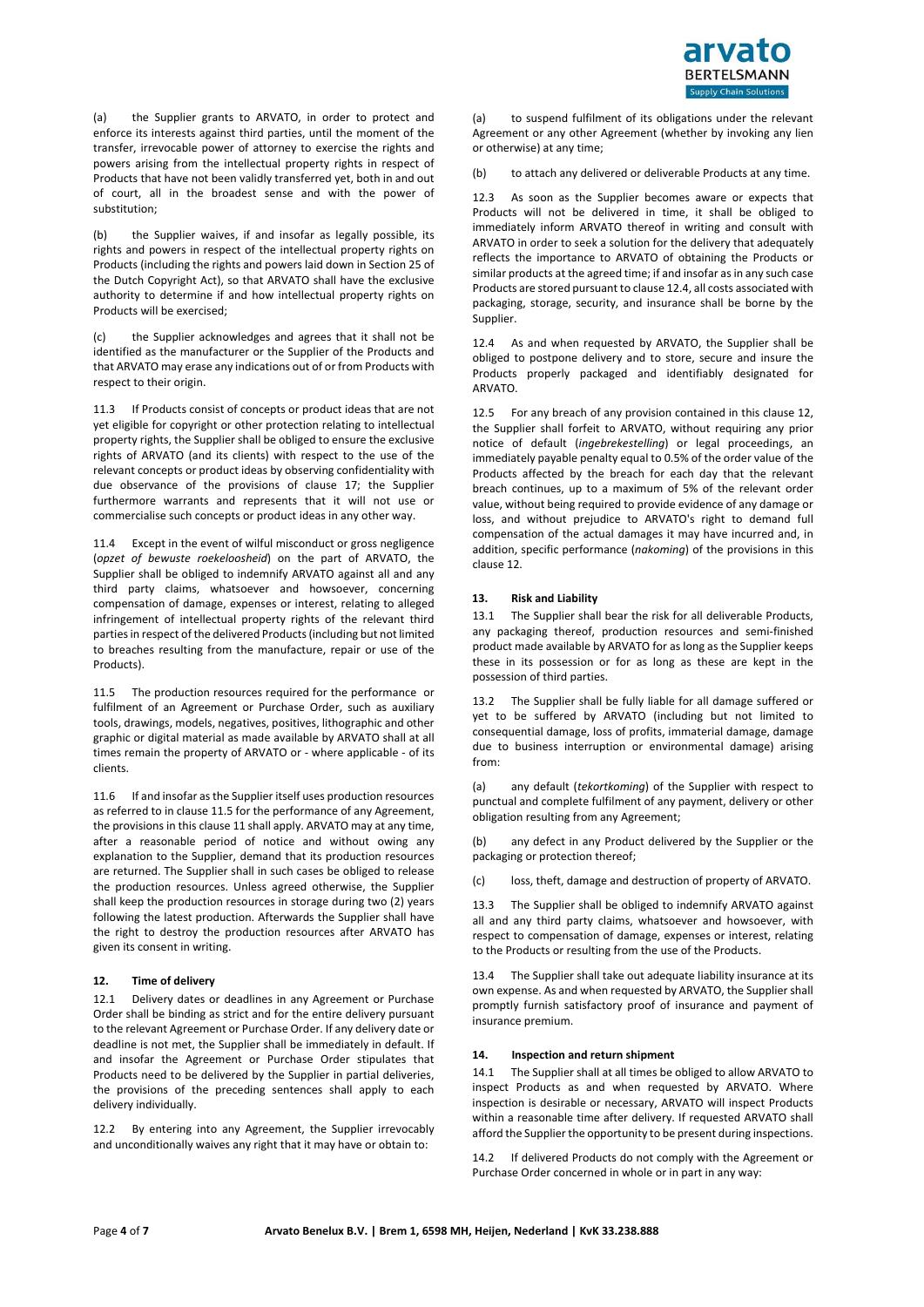

(a) the Supplier grants to ARVATO, in order to protect and enforce its interests against third parties, until the moment of the transfer, irrevocable power of attorney to exercise the rights and powers arising from the intellectual property rights in respect of Products that have not been validly transferred yet, both in and out of court, all in the broadest sense and with the power of substitution;

(b) the Supplier waives, if and insofar as legally possible, its rights and powers in respect of the intellectual property rights on Products (including the rights and powers laid down in Section 25 of the Dutch Copyright Act), so that ARVATO shall have the exclusive authority to determine if and how intellectual property rights on Products will be exercised;

(c) the Supplier acknowledges and agrees that it shall not be identified as the manufacturer or the Supplier of the Products and that ARVATO may erase any indications out of or from Products with respect to their origin.

11.3 If Products consist of concepts or product ideas that are not yet eligible for copyright or other protection relating to intellectual property rights, the Supplier shall be obliged to ensure the exclusive rights of ARVATO (and its clients) with respect to the use of the relevant concepts or product ideas by observing confidentiality with due observance of the provisions of clause 17; the Supplier furthermore warrants and represents that it will not use or commercialise such concepts or product ideas in any other way.

11.4 Except in the event of wilful misconduct or gross negligence (*opzet of bewuste roekeloosheid*) on the part of ARVATO, the Supplier shall be obliged to indemnify ARVATO against all and any third party claims, whatsoever and howsoever, concerning compensation of damage, expenses or interest, relating to alleged infringement of intellectual property rights of the relevant third parties in respect of the delivered Products (including but not limited to breaches resulting from the manufacture, repair or use of the Products).

11.5 The production resources required for the performance or fulfilment of an Agreement or Purchase Order, such as auxiliary tools, drawings, models, negatives, positives, lithographic and other graphic or digital material as made available by ARVATO shall at all times remain the property of ARVATO or - where applicable - of its clients.

11.6 If and insofar as the Supplier itself uses production resources as referred to in clause 11.5 for the performance of any Agreement, the provisions in this clause 11 shall apply. ARVATO may at any time, after a reasonable period of notice and without owing any explanation to the Supplier, demand that its production resources are returned. The Supplier shall in such cases be obliged to release the production resources. Unless agreed otherwise, the Supplier shall keep the production resources in storage during two (2) years following the latest production. Afterwards the Supplier shall have the right to destroy the production resources after ARVATO has given its consent in writing.

### **12. Time of delivery**

12.1 Delivery dates or deadlines in any Agreement or Purchase Order shall be binding as strict and for the entire delivery pursuant to the relevant Agreement or Purchase Order. If any delivery date or deadline is not met, the Supplier shall be immediately in default. If and insofar the Agreement or Purchase Order stipulates that Products need to be delivered by the Supplier in partial deliveries, the provisions of the preceding sentences shall apply to each delivery individually.

12.2 By entering into any Agreement, the Supplier irrevocably and unconditionally waives any right that it may have or obtain to:

(a) to suspend fulfilment of its obligations under the relevant Agreement or any other Agreement (whether by invoking any lien or otherwise) at any time;

(b) to attach any delivered or deliverable Products at any time.

12.3 As soon as the Supplier becomes aware or expects that Products will not be delivered in time, it shall be obliged to immediately inform ARVATO thereof in writing and consult with ARVATO in order to seek a solution for the delivery that adequately reflects the importance to ARVATO of obtaining the Products or similar products at the agreed time; if and insofar as in any such case Products are stored pursuant to clause 12.4, all costs associated with packaging, storage, security, and insurance shall be borne by the Supplier.

12.4 As and when requested by ARVATO, the Supplier shall be obliged to postpone delivery and to store, secure and insure the Products properly packaged and identifiably designated for ARVATO.

12.5 For any breach of any provision contained in this clause 12, the Supplier shall forfeit to ARVATO, without requiring any prior notice of default (*ingebrekestelling*) or legal proceedings, an immediately payable penalty equal to 0.5% of the order value of the Products affected by the breach for each day that the relevant breach continues, up to a maximum of 5% of the relevant order value, without being required to provide evidence of any damage or loss, and without prejudice to ARVATO's right to demand full compensation of the actual damages it may have incurred and, in addition, specific performance (*nakoming*) of the provisions in this clause 12.

#### **13. Risk and Liability**

13.1 The Supplier shall bear the risk for all deliverable Products, any packaging thereof, production resources and semi-finished product made available by ARVATO for as long as the Supplier keeps these in its possession or for as long as these are kept in the possession of third parties.

13.2 The Supplier shall be fully liable for all damage suffered or yet to be suffered by ARVATO (including but not limited to consequential damage, loss of profits, immaterial damage, damage due to business interruption or environmental damage) arising from:

(a) any default (*tekortkoming*) of the Supplier with respect to punctual and complete fulfilment of any payment, delivery or other obligation resulting from any Agreement;

(b) any defect in any Product delivered by the Supplier or the packaging or protection thereof;

(c) loss, theft, damage and destruction of property of ARVATO.

13.3 The Supplier shall be obliged to indemnify ARVATO against all and any third party claims, whatsoever and howsoever, with respect to compensation of damage, expenses or interest, relating to the Products or resulting from the use of the Products.

13.4 The Supplier shall take out adequate liability insurance at its own expense. As and when requested by ARVATO, the Supplier shall promptly furnish satisfactory proof of insurance and payment of insurance premium.

#### **14. Inspection and return shipment**

14.1 The Supplier shall at all times be obliged to allow ARVATO to inspect Products as and when requested by ARVATO. Where inspection is desirable or necessary, ARVATO will inspect Products within a reasonable time after delivery. If requested ARVATO shall afford the Supplier the opportunity to be present during inspections.

14.2 If delivered Products do not comply with the Agreement or Purchase Order concerned in whole or in part in any way: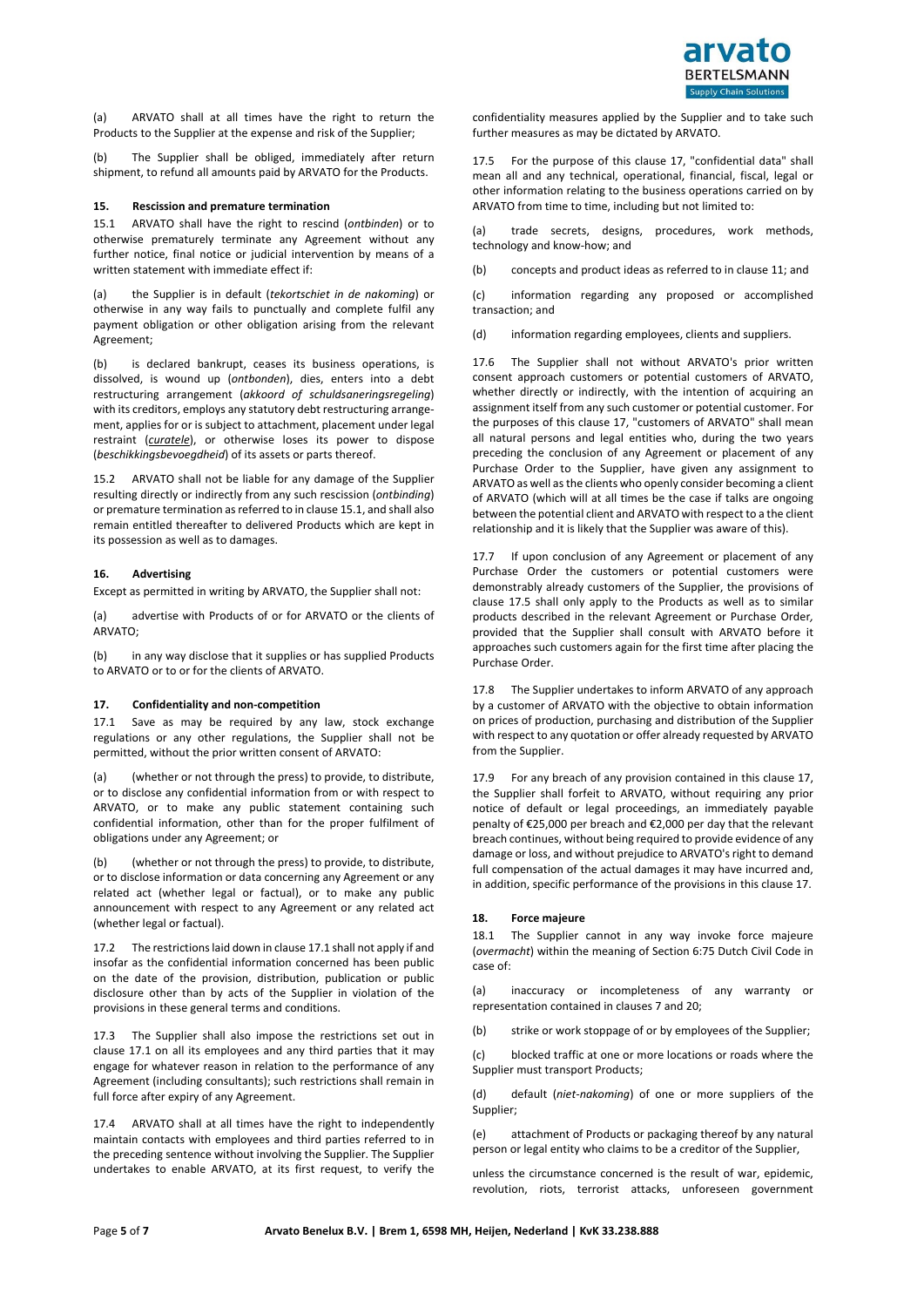(a) ARVATO shall at all times have the right to return the Products to the Supplier at the expense and risk of the Supplier;

(b) The Supplier shall be obliged, immediately after return shipment, to refund all amounts paid by ARVATO for the Products.

### **15. Rescission and premature termination**

15.1 ARVATO shall have the right to rescind (*ontbinden*) or to otherwise prematurely terminate any Agreement without any further notice, final notice or judicial intervention by means of a written statement with immediate effect if:

(a) the Supplier is in default (*tekortschiet in de nakoming*) or otherwise in any way fails to punctually and complete fulfil any payment obligation or other obligation arising from the relevant Agreement;

(b) is declared bankrupt, ceases its business operations, is dissolved, is wound up (*ontbonden*), dies, enters into a debt restructuring arrangement (*akkoord of schuldsaneringsregeling*) with its creditors, employs any statutory debt restructuring arrangement, applies for or is subject to attachment, placement under legal restraint (*curatele*), or otherwise loses its power to dispose (*beschikkingsbevoegdheid*) of its assets or parts thereof.

15.2 ARVATO shall not be liable for any damage of the Supplier resulting directly or indirectly from any such rescission (*ontbinding*) or premature termination as referred to in clause 15.1, and shall also remain entitled thereafter to delivered Products which are kept in its possession as well as to damages.

### **16. Advertising**

Except as permitted in writing by ARVATO, the Supplier shall not:

(a) advertise with Products of or for ARVATO or the clients of ARVATO;

(b) in any way disclose that it supplies or has supplied Products to ARVATO or to or for the clients of ARVATO.

### **17. Confidentiality and non-competition**

17.1 Save as may be required by any law, stock exchange regulations or any other regulations, the Supplier shall not be permitted, without the prior written consent of ARVATO:

(a) (whether or not through the press) to provide, to distribute, or to disclose any confidential information from or with respect to ARVATO, or to make any public statement containing such confidential information, other than for the proper fulfilment of obligations under any Agreement; or

(b) (whether or not through the press) to provide, to distribute, or to disclose information or data concerning any Agreement or any related act (whether legal or factual), or to make any public announcement with respect to any Agreement or any related act (whether legal or factual).

17.2 The restrictions laid down in clause 17.1 shall not apply if and insofar as the confidential information concerned has been public on the date of the provision, distribution, publication or public disclosure other than by acts of the Supplier in violation of the provisions in these general terms and conditions.

17.3 The Supplier shall also impose the restrictions set out in clause 17.1 on all its employees and any third parties that it may engage for whatever reason in relation to the performance of any Agreement (including consultants); such restrictions shall remain in full force after expiry of any Agreement.

17.4 ARVATO shall at all times have the right to independently maintain contacts with employees and third parties referred to in the preceding sentence without involving the Supplier. The Supplier undertakes to enable ARVATO, at its first request, to verify the

confidentiality measures applied by the Supplier and to take such further measures as may be dictated by ARVATO.

17.5 For the purpose of this clause 17, "confidential data" shall mean all and any technical, operational, financial, fiscal, legal or other information relating to the business operations carried on by ARVATO from time to time, including but not limited to:

(a) trade secrets, designs, procedures, work methods, technology and know-how; and

(b) concepts and product ideas as referred to in clause 11; and

(c) information regarding any proposed or accomplished transaction; and

(d) information regarding employees, clients and suppliers.

17.6 The Supplier shall not without ARVATO's prior written consent approach customers or potential customers of ARVATO, whether directly or indirectly, with the intention of acquiring an assignment itself from any such customer or potential customer. For the purposes of this clause 17, "customers of ARVATO" shall mean all natural persons and legal entities who, during the two years preceding the conclusion of any Agreement or placement of any Purchase Order to the Supplier, have given any assignment to ARVATO as well as the clients who openly consider becoming a client of ARVATO (which will at all times be the case if talks are ongoing between the potential client and ARVATO with respect to a the client relationship and it is likely that the Supplier was aware of this).

If upon conclusion of any Agreement or placement of any Purchase Order the customers or potential customers were demonstrably already customers of the Supplier, the provisions of clause 17.5 shall only apply to the Products as well as to similar products described in the relevant Agreement or Purchase Order*,* provided that the Supplier shall consult with ARVATO before it approaches such customers again for the first time after placing the Purchase Order.

17.8 The Supplier undertakes to inform ARVATO of any approach by a customer of ARVATO with the objective to obtain information on prices of production, purchasing and distribution of the Supplier with respect to any quotation or offer already requested by ARVATO from the Supplier.

17.9 For any breach of any provision contained in this clause 17, the Supplier shall forfeit to ARVATO, without requiring any prior notice of default or legal proceedings, an immediately payable penalty of €25,000 per breach and €2,000 per day that the relevant breach continues, without being required to provide evidence of any damage or loss, and without prejudice to ARVATO's right to demand full compensation of the actual damages it may have incurred and, in addition, specific performance of the provisions in this clause 17.

#### **18. Force majeure**

18.1 The Supplier cannot in any way invoke force majeure (*overmacht*) within the meaning of Section 6:75 Dutch Civil Code in case of:

(a) inaccuracy or incompleteness of any warranty or representation contained in clauses 7 and 20;

(b) strike or work stoppage of or by employees of the Supplier;

(c) blocked traffic at one or more locations or roads where the Supplier must transport Products;

(d) default (*niet-nakoming*) of one or more suppliers of the Supplier;

(e) attachment of Products or packaging thereof by any natural person or legal entity who claims to be a creditor of the Supplier,

unless the circumstance concerned is the result of war, epidemic, revolution, riots, terrorist attacks, unforeseen government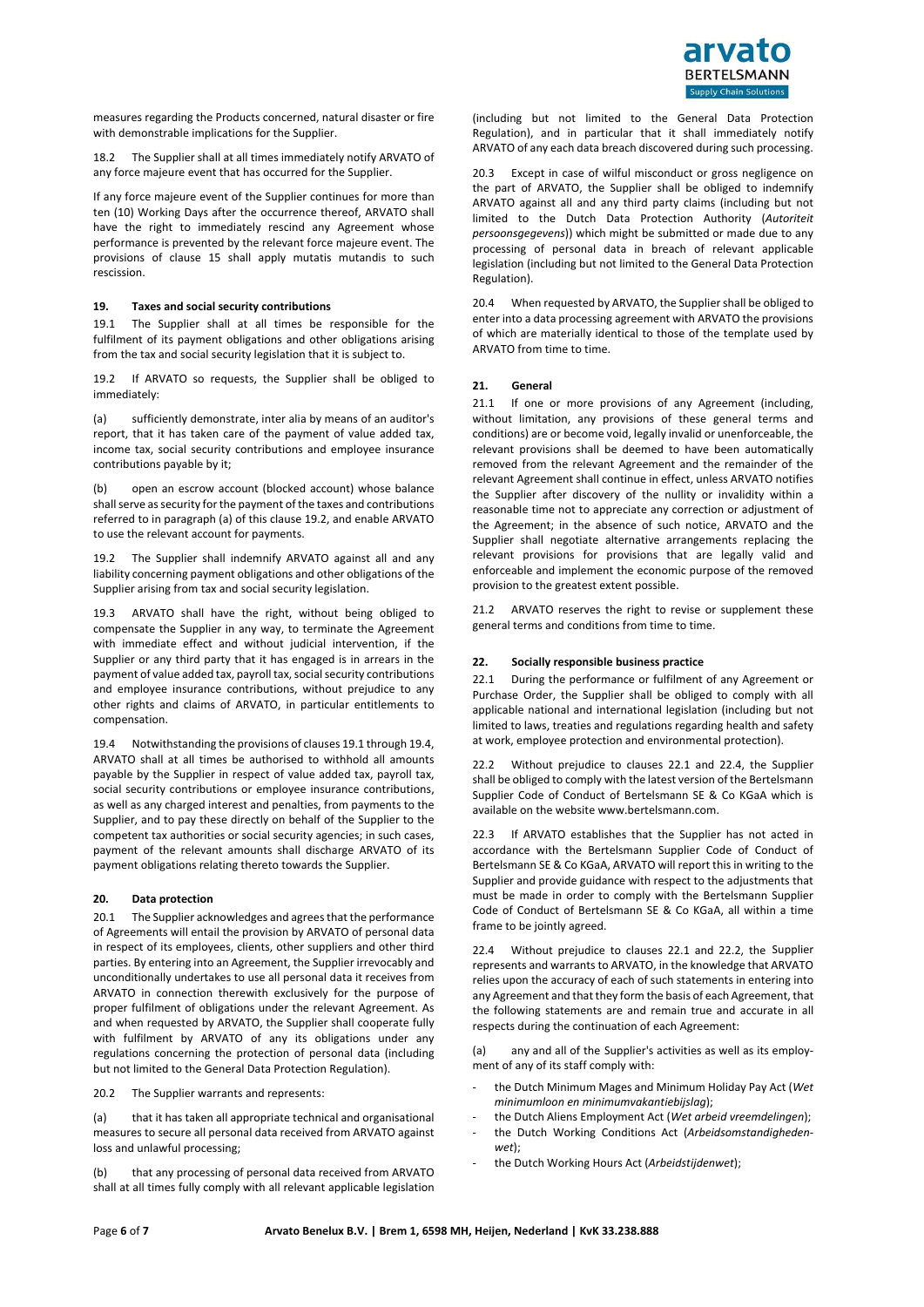

measures regarding the Products concerned, natural disaster or fire with demonstrable implications for the Supplier.

18.2 The Supplier shall at all times immediately notify ARVATO of any force majeure event that has occurred for the Supplier.

If any force majeure event of the Supplier continues for more than ten (10) Working Days after the occurrence thereof, ARVATO shall have the right to immediately rescind any Agreement whose performance is prevented by the relevant force majeure event. The provisions of clause 15 shall apply mutatis mutandis to such rescission.

### **19. Taxes and social security contributions**

19.1 The Supplier shall at all times be responsible for the fulfilment of its payment obligations and other obligations arising from the tax and social security legislation that it is subject to.

19.2 If ARVATO so requests, the Supplier shall be obliged to immediately:

(a) sufficiently demonstrate, inter alia by means of an auditor's report, that it has taken care of the payment of value added tax, income tax, social security contributions and employee insurance contributions payable by it;

(b) open an escrow account (blocked account) whose balance shall serve as security for the payment of the taxes and contributions referred to in paragraph (a) of this clause 19.2, and enable ARVATO to use the relevant account for payments.

19.2 The Supplier shall indemnify ARVATO against all and any liability concerning payment obligations and other obligations of the Supplier arising from tax and social security legislation.

19.3 ARVATO shall have the right, without being obliged to compensate the Supplier in any way, to terminate the Agreement with immediate effect and without judicial intervention, if the Supplier or any third party that it has engaged is in arrears in the payment of value added tax, payroll tax, social security contributions and employee insurance contributions, without prejudice to any other rights and claims of ARVATO, in particular entitlements to compensation.

19.4 Notwithstanding the provisions of clauses 19.1 through 19.4, ARVATO shall at all times be authorised to withhold all amounts payable by the Supplier in respect of value added tax, payroll tax, social security contributions or employee insurance contributions, as well as any charged interest and penalties, from payments to the Supplier, and to pay these directly on behalf of the Supplier to the competent tax authorities or social security agencies; in such cases, payment of the relevant amounts shall discharge ARVATO of its payment obligations relating thereto towards the Supplier.

# **20. Data protection**

20.1 The Supplier acknowledges and agrees that the performance of Agreements will entail the provision by ARVATO of personal data in respect of its employees, clients, other suppliers and other third parties. By entering into an Agreement, the Supplier irrevocably and unconditionally undertakes to use all personal data it receives from ARVATO in connection therewith exclusively for the purpose of proper fulfilment of obligations under the relevant Agreement. As and when requested by ARVATO, the Supplier shall cooperate fully with fulfilment by ARVATO of any its obligations under any regulations concerning the protection of personal data (including but not limited to the General Data Protection Regulation).

20.2 The Supplier warrants and represents:

(a) that it has taken all appropriate technical and organisational measures to secure all personal data received from ARVATO against loss and unlawful processing;

(b) that any processing of personal data received from ARVATO shall at all times fully comply with all relevant applicable legislation (including but not limited to the General Data Protection Regulation), and in particular that it shall immediately notify ARVATO of any each data breach discovered during such processing.

20.3 Except in case of wilful misconduct or gross negligence on the part of ARVATO, the Supplier shall be obliged to indemnify ARVATO against all and any third party claims (including but not limited to the Dutch Data Protection Authority (*Autoriteit persoonsgegevens*)) which might be submitted or made due to any processing of personal data in breach of relevant applicable legislation (including but not limited to the General Data Protection Regulation).

20.4 When requested by ARVATO, the Supplier shall be obliged to enter into a data processing agreement with ARVATO the provisions of which are materially identical to those of the template used by ARVATO from time to time.

#### **21. General**

21.1 If one or more provisions of any Agreement (including, without limitation, any provisions of these general terms and conditions) are or become void, legally invalid or unenforceable, the relevant provisions shall be deemed to have been automatically removed from the relevant Agreement and the remainder of the relevant Agreement shall continue in effect, unless ARVATO notifies the Supplier after discovery of the nullity or invalidity within a reasonable time not to appreciate any correction or adjustment of the Agreement; in the absence of such notice, ARVATO and the Supplier shall negotiate alternative arrangements replacing the relevant provisions for provisions that are legally valid and enforceable and implement the economic purpose of the removed provision to the greatest extent possible.

21.2 ARVATO reserves the right to revise or supplement these general terms and conditions from time to time.

# **22. Socially responsible business practice**

22.1 During the performance or fulfilment of any Agreement or Purchase Order, the Supplier shall be obliged to comply with all applicable national and international legislation (including but not limited to laws, treaties and regulations regarding health and safety at work, employee protection and environmental protection).

22.2 Without prejudice to clauses 22.1 and 22.4, the Supplier shall be obliged to comply with the latest version of the Bertelsmann Supplier Code of Conduct of Bertelsmann SE & Co KGaA which is available on the websit[e www.bertelsmann.com.](http://www.bertelsmann.com/)

If ARVATO establishes that the Supplier has not acted in accordance with the Bertelsmann Supplier Code of Conduct of Bertelsmann SE & Co KGaA, ARVATO will report this in writing to the Supplier and provide guidance with respect to the adjustments that must be made in order to comply with the Bertelsmann Supplier Code of Conduct of Bertelsmann SE & Co KGaA, all within a time frame to be jointly agreed.

22.4 Without prejudice to clauses 22.1 and 22.2, the Supplier represents and warrants to ARVATO, in the knowledge that ARVATO relies upon the accuracy of each of such statements in entering into any Agreement and that they form the basis of each Agreement, that the following statements are and remain true and accurate in all respects during the continuation of each Agreement:

(a) any and all of the Supplier's activities as well as its employment of any of its staff comply with:

- the Dutch Minimum Mages and Minimum Holiday Pay Act (*Wet minimumloon en minimumvakantiebijslag*);
- the Dutch Aliens Employment Act (*Wet arbeid vreemdelingen*); - the Dutch Working Conditions Act (*Arbeidsomstandighedenwet*);
- the Dutch Working Hours Act (*Arbeidstijdenwet*);